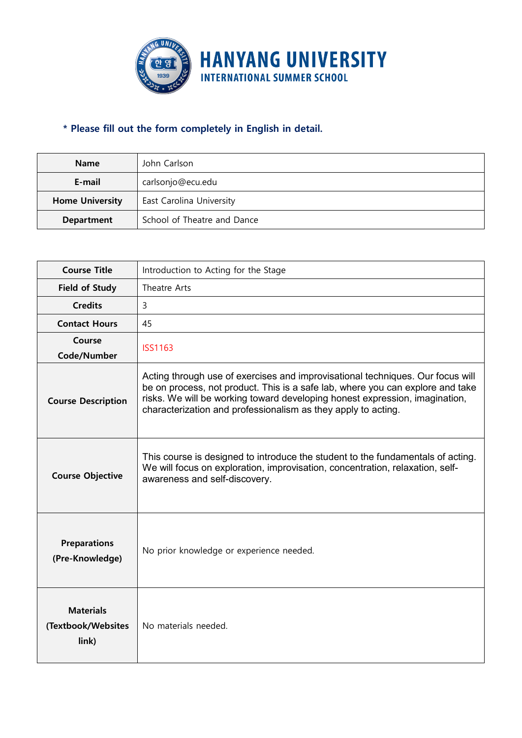

## **\* Please fill out the form completely in English in detail.**

| <b>Name</b>            | John Carlson                |  |  |  |  |
|------------------------|-----------------------------|--|--|--|--|
| E-mail                 | carlsonjo@ecu.edu           |  |  |  |  |
| <b>Home University</b> | East Carolina University    |  |  |  |  |
| Department             | School of Theatre and Dance |  |  |  |  |

| <b>Course Title</b>                             | Introduction to Acting for the Stage                                                                                                                                                                                                                                                                             |  |  |  |  |  |
|-------------------------------------------------|------------------------------------------------------------------------------------------------------------------------------------------------------------------------------------------------------------------------------------------------------------------------------------------------------------------|--|--|--|--|--|
| <b>Field of Study</b>                           | Theatre Arts                                                                                                                                                                                                                                                                                                     |  |  |  |  |  |
| <b>Credits</b>                                  | $\overline{3}$                                                                                                                                                                                                                                                                                                   |  |  |  |  |  |
| <b>Contact Hours</b>                            | 45                                                                                                                                                                                                                                                                                                               |  |  |  |  |  |
| Course<br>Code/Number                           | <b>ISS1163</b>                                                                                                                                                                                                                                                                                                   |  |  |  |  |  |
| <b>Course Description</b>                       | Acting through use of exercises and improvisational techniques. Our focus will<br>be on process, not product. This is a safe lab, where you can explore and take<br>risks. We will be working toward developing honest expression, imagination,<br>characterization and professionalism as they apply to acting. |  |  |  |  |  |
| <b>Course Objective</b>                         | This course is designed to introduce the student to the fundamentals of acting.<br>We will focus on exploration, improvisation, concentration, relaxation, self-<br>awareness and self-discovery.                                                                                                                |  |  |  |  |  |
| <b>Preparations</b><br>(Pre-Knowledge)          | No prior knowledge or experience needed.                                                                                                                                                                                                                                                                         |  |  |  |  |  |
| <b>Materials</b><br>(Textbook/Websites<br>link) | No materials needed.                                                                                                                                                                                                                                                                                             |  |  |  |  |  |